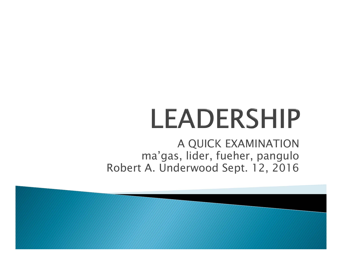# LEADERSHIP

A QUICK EXAMINATION ma'gas, lider, fueher, pangulo Robert A. Underwood Sept. 12, 2016

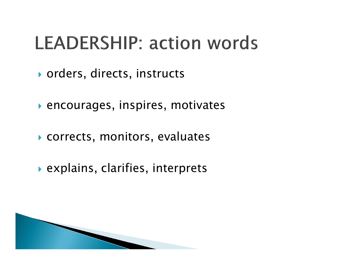#### **LEADERSHIP: action words**

- orders, directs, instructs
- encourages, inspires, motivates
- corrects, monitors, evaluates
- explains, clarifies, interprets

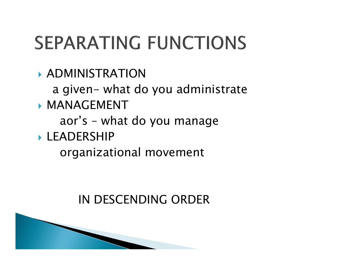## **SEPARATING FUNCTIONS**

- ADMINISTRATION
	- a given- what do you administrate
- **MANAGEMENT** 
	- aor's what do you manage
- LEADERSHIP
	- organizational movement

#### IN DESCENDING ORDER

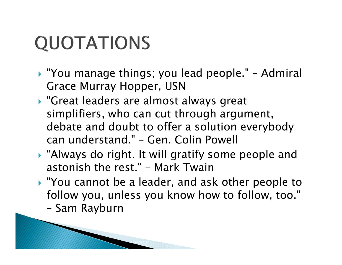## **QUOTATIONS**

- "You manage things; you lead people." Admiral Grace Murray Hopper, USN
- "Great leaders are almost always great simplifiers, who can cut through argument, debate and doubt to offer a solution everybody can understand." – Gen. Colin Powell
- "Always do right. It will gratify some people and astonish the rest." – Mark Twain
- "You cannot be a leader, and ask other people to follow you, unless you know how to follow, too."
	- Sam Rayburn

**ANOTHERNOTES**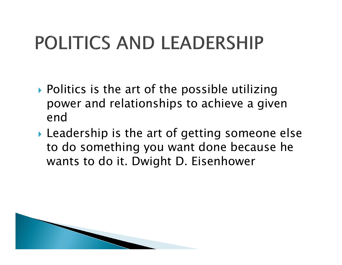## POLITICS AND LEADERSHIP

- ▶ Politics is the art of the possible utilizing power and relationships to achieve a given end
- Leadership is the art of getting someone else to do something you want done because he wants to do it. Dwight D. Eisenhower

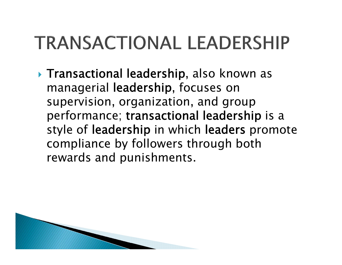#### **TRANSACTIONAL LEADERSHIP**

 Transactional leadership, also known as managerial leadership, focuses on supervision, organization, and group performance; transactional leadership is a style of leadership in which leaders promote compliance by followers through both rewards and punishments.

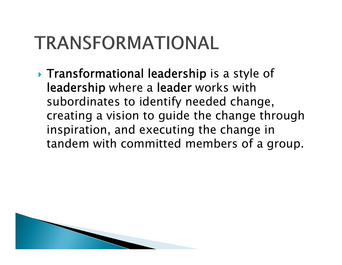#### TRANSFORMATIONAL

**Transformational leadership is a style of** leadership where a leader works with subordinates to identify needed change, creating a vision to guide the change through inspiration, and executing the change in tandem with committed members of a group.

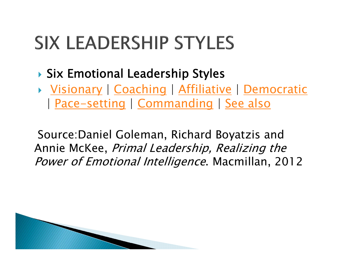#### **SIX LEADERSHIP STYLES**

- Six Emotional Leadership Styles
- Visionary | Coaching | Affiliative | Democratic | Pace-setting | Commanding | See also

Source:Daniel Goleman, Richard Boyatzis and Annie McKee, Primal Leadership, Realizing the Power of Emotional Intelligence. Macmillan, 2012

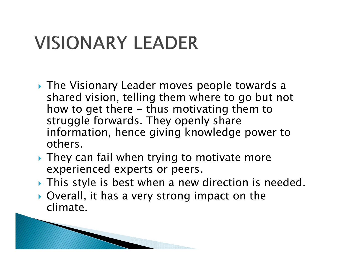#### **VISIONARY LEADER**

**ANTIQUES COMMENTANT COMMENTANT COMMENTANT COMMENTANT COMMENTANT COMMENTANT COMMENTANT COMMENTANT COMMENTANT COMMENTANT COMMENTANT COMMENTANT COMMENTANT COMMENTANT COMMENTANT COMMENTANT COMMENTANT COMMENTANT COMMENTANT COM** 

- The Visionary Leader moves people towards a shared vision, telling them where to go but not how to get there - thus motivating them to struggle forwards. They openly share information, hence giving knowledge power to others.
- ▶ They can fail when trying to motivate more experienced experts or peers.
- This style is best when a new direction is needed.
- Overall, it has a very strong impact on the climate.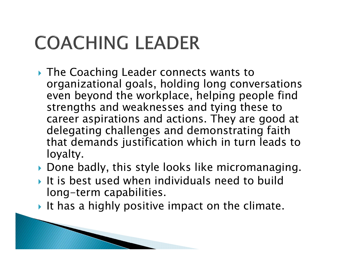## **COACHING LEADER**

**ANTIQUES COMMENTANT COMMENTANT COMMENTANT COMMENTANT COMMENTANT COMMENTANT COMMENTANT COMMENTANT COMMENTANT COMMENTANT COMMENTANT COMMENTANT COMMENTANT COMMENTANT COMMENTANT COMMENTANT COMMENTANT COMMENTANT COMMENTANT COM** 

- The Coaching Leader connects wants to organizational goals, holding long conversations even beyond the workplace, helping people find strengths and weaknesses and tying these to career aspirations and actions. They are good at delegating challenges and demonstrating faith that demands justification which in turn leads to loyalty.
- Done badly, this style looks like micromanaging.
- It is best used when individuals need to build long-term capabilities.
- It has a highly positive impact on the climate.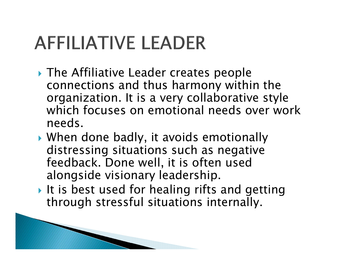### **AFFILIATIVE LEADER**

- ▶ The Affiliative Leader creates people connections and thus harmony within the organization. It is a very collaborative style which focuses on emotional needs over work needs.
- When done badly, it avoids emotionally distressing situations such as negative feedback. Done well, it is often used alongside visionary leadership.
- It is best used for healing rifts and getting through stressful situations internally.

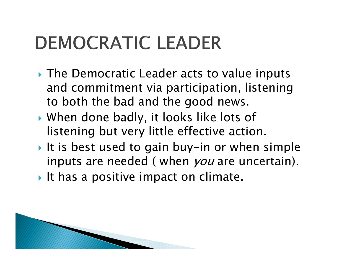#### **DEMOCRATIC LEADER**

- The Democratic Leader acts to value inputs and commitment via participation, listening to both the bad and the good news.
- When done badly, it looks like lots of listening but very little effective action.
- It is best used to gain buy-in or when simple inputs are needed ( when *you* are uncertain).
- It has a positive impact on climate.

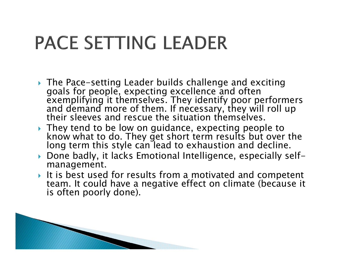#### **PACE SETTING LEADER**

- The Pace-setting Leader builds challenge and exciting The Pace-setting Leader builds challenge and exciting<br>goals for people, expecting excellence and often<br>exemplifying it themselves. They identify poor performers<br>and demand more of them. If necessary, they will roll up<br>thei
- They tend to be low on guidance, expecting people to know what to do. They get short term results but over the long term this style can lead to exhaustion and decline.
- Done badly, it lacks Emotional Intelligence, especially selfmanagement.
- It is best used for results from a motivated and competent team. It could have a negative effect on climate (because it is often poorly done).

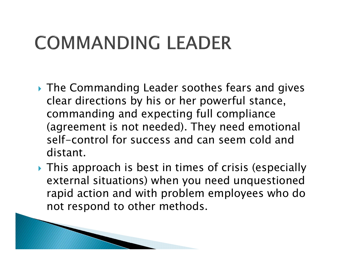#### **COMMANDING LEADER**

**MARRIOT COMMENT** 

- The Commanding Leader soothes fears and gives clear directions by his or her powerful stance, commanding and expecting full compliance (agreement is not needed). They need emotional self-control for success and can seem cold and distant.
- This approach is best in times of crisis (especially external situations) when you need unquestioned rapid action and with problem employees who do not respond to other methods.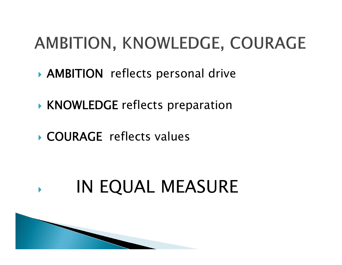#### AMBITION, KNOWLEDGE, COURAGE

- AMBITION reflects personal drive
- KNOWLEDGE reflects preparation
- COURAGE reflects values

#### $\blacktriangleright$ IN EQUAL MEASURE

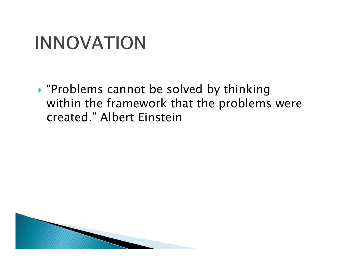#### **INNOVATION**

 "Problems cannot be solved by thinking within the framework that the problems were created." Albert Einstein

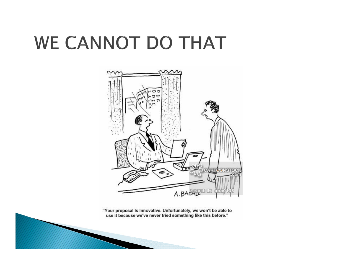#### WE CANNOT DO THAT



"Your proposal is innovative. Unfortunately, we won't be able to use it because we've never tried something like this before."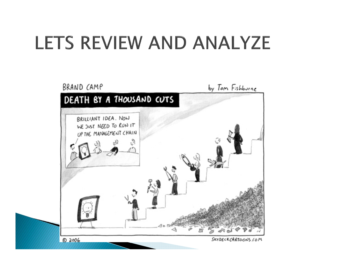#### LETS REVIEW AND ANALYZE

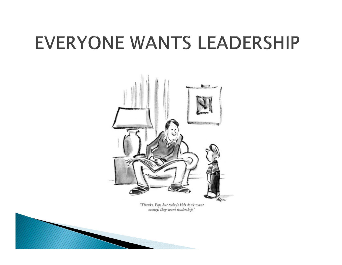#### **EVERYONE WANTS LEADERSHIP**



"Thanks, Pop, but today's kids don't want<br>money, they want leadership."